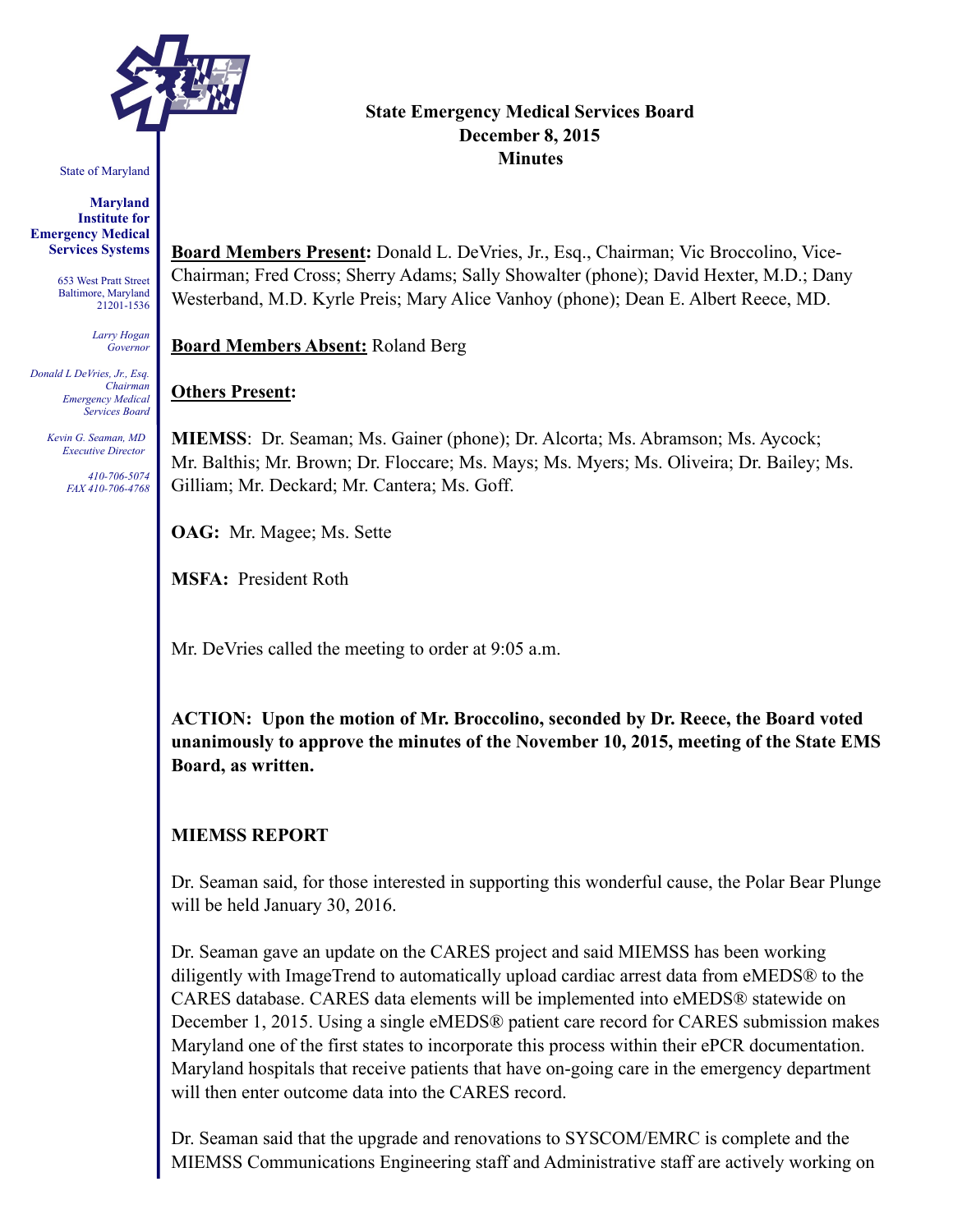

#### State of Maryland

#### **Maryland Institute for Emergency Medical Services Systems**

653 West Pratt Street Baltimore, Maryland 21201-1536

> *Larry Hogan Governor*

*Donald L DeVries, Jr., Esq. Chairman Emergency Medical Services Board* 

> *Kevin G. Seaman, MD Executive Director*

> > *410-706-5074 FAX 410-706-4768*

# **State Emergency Medical Services Board December 8, 2015 Minutes**

**Board Members Present:** Donald L. DeVries, Jr., Esq., Chairman; Vic Broccolino, Vice-Chairman; Fred Cross; Sherry Adams; Sally Showalter (phone); David Hexter, M.D.; Dany Westerband, M.D. Kyrle Preis; Mary Alice Vanhoy (phone); Dean E. Albert Reece, MD.

**Board Members Absent:** Roland Berg

## **Others Present:**

**MIEMSS**: Dr. Seaman; Ms. Gainer (phone); Dr. Alcorta; Ms. Abramson; Ms. Aycock; Mr. Balthis; Mr. Brown; Dr. Floccare; Ms. Mays; Ms. Myers; Ms. Oliveira; Dr. Bailey; Ms. Gilliam; Mr. Deckard; Mr. Cantera; Ms. Goff.

**OAG:** Mr. Magee; Ms. Sette

**MSFA:** President Roth

Mr. DeVries called the meeting to order at 9:05 a.m.

**ACTION: Upon the motion of Mr. Broccolino, seconded by Dr. Reece, the Board voted unanimously to approve the minutes of the November 10, 2015, meeting of the State EMS Board, as written.** 

## **MIEMSS REPORT**

Dr. Seaman said, for those interested in supporting this wonderful cause, the Polar Bear Plunge will be held January 30, 2016.

Dr. Seaman gave an update on the CARES project and said MIEMSS has been working diligently with ImageTrend to automatically upload cardiac arrest data from eMEDS® to the CARES database. CARES data elements will be implemented into eMEDS® statewide on December 1, 2015. Using a single eMEDS® patient care record for CARES submission makes Maryland one of the first states to incorporate this process within their ePCR documentation. Maryland hospitals that receive patients that have on-going care in the emergency department will then enter outcome data into the CARES record.

Dr. Seaman said that the upgrade and renovations to SYSCOM/EMRC is complete and the MIEMSS Communications Engineering staff and Administrative staff are actively working on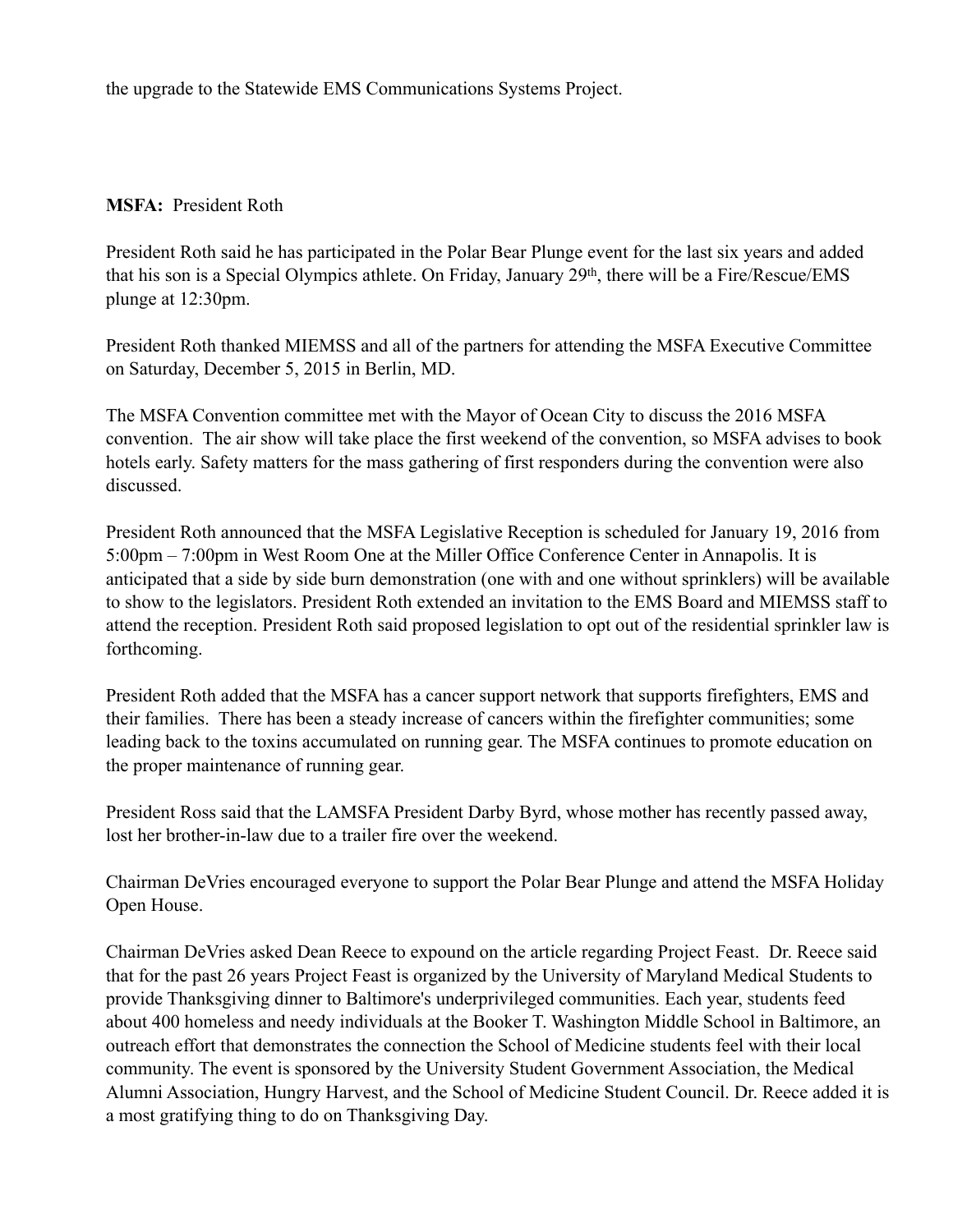the upgrade to the Statewide EMS Communications Systems Project.

## **MSFA:** President Roth

President Roth said he has participated in the Polar Bear Plunge event for the last six years and added that his son is a Special Olympics athlete. On Friday, January 29th, there will be a Fire/Rescue/EMS plunge at 12:30pm.

President Roth thanked MIEMSS and all of the partners for attending the MSFA Executive Committee on Saturday, December 5, 2015 in Berlin, MD.

The MSFA Convention committee met with the Mayor of Ocean City to discuss the 2016 MSFA convention. The air show will take place the first weekend of the convention, so MSFA advises to book hotels early. Safety matters for the mass gathering of first responders during the convention were also discussed.

President Roth announced that the MSFA Legislative Reception is scheduled for January 19, 2016 from 5:00pm – 7:00pm in West Room One at the Miller Office Conference Center in Annapolis. It is anticipated that a side by side burn demonstration (one with and one without sprinklers) will be available to show to the legislators. President Roth extended an invitation to the EMS Board and MIEMSS staff to attend the reception. President Roth said proposed legislation to opt out of the residential sprinkler law is forthcoming.

President Roth added that the MSFA has a cancer support network that supports firefighters, EMS and their families. There has been a steady increase of cancers within the firefighter communities; some leading back to the toxins accumulated on running gear. The MSFA continues to promote education on the proper maintenance of running gear.

President Ross said that the LAMSFA President Darby Byrd, whose mother has recently passed away, lost her brother-in-law due to a trailer fire over the weekend.

Chairman DeVries encouraged everyone to support the Polar Bear Plunge and attend the MSFA Holiday Open House.

Chairman DeVries asked Dean Reece to expound on the article regarding Project Feast. Dr. Reece said that for the past 26 years Project Feast is organized by the University of Maryland Medical Students to provide Thanksgiving dinner to Baltimore's underprivileged communities. Each year, students feed about 400 homeless and needy individuals at the Booker T. Washington Middle School in Baltimore, an outreach effort that demonstrates the connection the School of Medicine students feel with their local community. The event is sponsored by the University Student Government Association, the Medical Alumni Association, Hungry Harvest, and the School of Medicine Student Council. Dr. Reece added it is a most gratifying thing to do on Thanksgiving Day.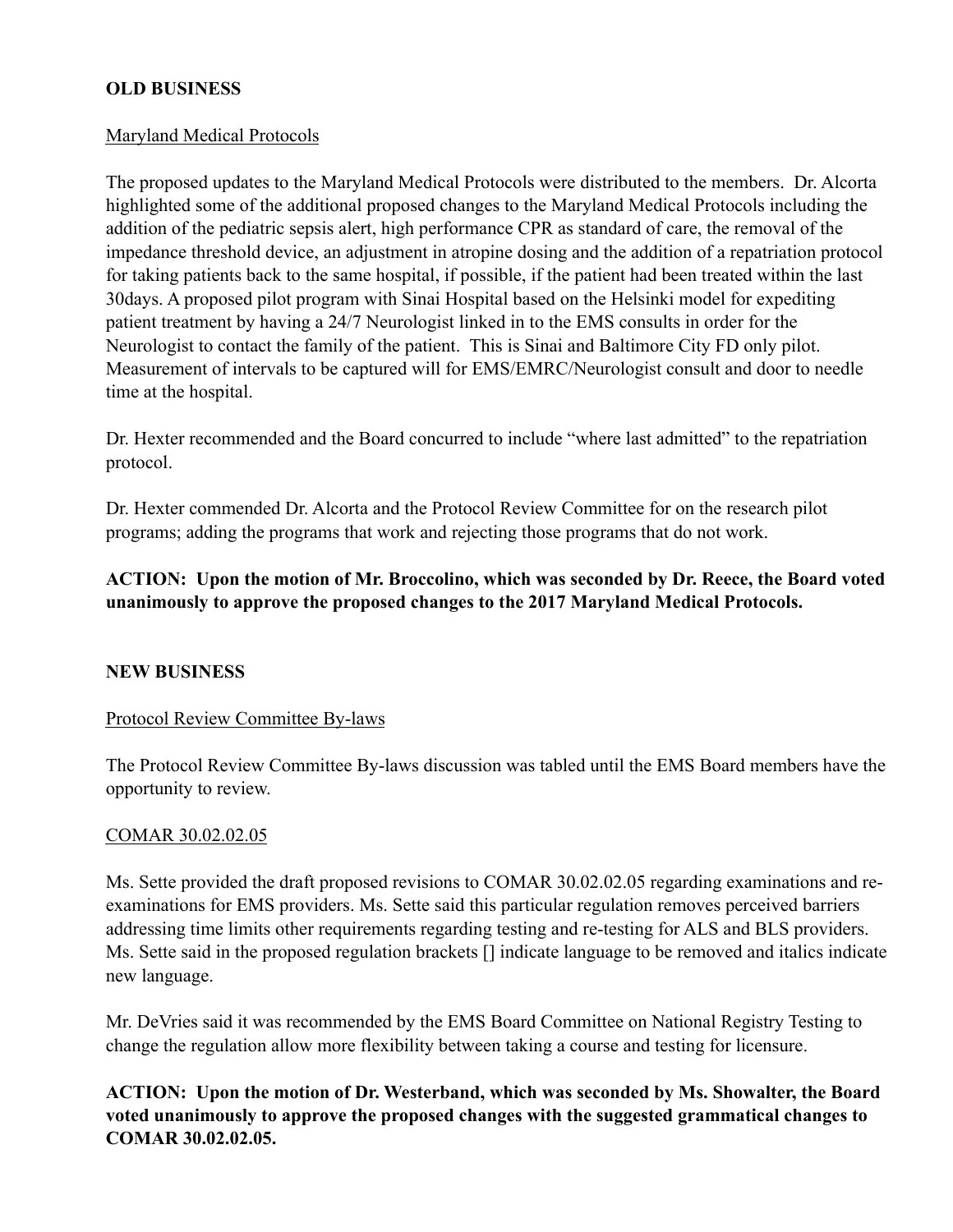## **OLD BUSINESS**

### Maryland Medical Protocols

The proposed updates to the Maryland Medical Protocols were distributed to the members. Dr. Alcorta highlighted some of the additional proposed changes to the Maryland Medical Protocols including the addition of the pediatric sepsis alert, high performance CPR as standard of care, the removal of the impedance threshold device, an adjustment in atropine dosing and the addition of a repatriation protocol for taking patients back to the same hospital, if possible, if the patient had been treated within the last 30days. A proposed pilot program with Sinai Hospital based on the Helsinki model for expediting patient treatment by having a 24/7 Neurologist linked in to the EMS consults in order for the Neurologist to contact the family of the patient. This is Sinai and Baltimore City FD only pilot. Measurement of intervals to be captured will for EMS/EMRC/Neurologist consult and door to needle time at the hospital.

Dr. Hexter recommended and the Board concurred to include "where last admitted" to the repatriation protocol.

Dr. Hexter commended Dr. Alcorta and the Protocol Review Committee for on the research pilot programs; adding the programs that work and rejecting those programs that do not work.

# **ACTION: Upon the motion of Mr. Broccolino, which was seconded by Dr. Reece, the Board voted unanimously to approve the proposed changes to the 2017 Maryland Medical Protocols.**

## **NEW BUSINESS**

### Protocol Review Committee By-laws

The Protocol Review Committee By-laws discussion was tabled until the EMS Board members have the opportunity to review.

### COMAR 30.02.02.05

Ms. Sette provided the draft proposed revisions to COMAR 30.02.02.05 regarding examinations and reexaminations for EMS providers. Ms. Sette said this particular regulation removes perceived barriers addressing time limits other requirements regarding testing and re-testing for ALS and BLS providers. Ms. Sette said in the proposed regulation brackets [] indicate language to be removed and italics indicate new language.

Mr. DeVries said it was recommended by the EMS Board Committee on National Registry Testing to change the regulation allow more flexibility between taking a course and testing for licensure.

**ACTION: Upon the motion of Dr. Westerband, which was seconded by Ms. Showalter, the Board voted unanimously to approve the proposed changes with the suggested grammatical changes to COMAR 30.02.02.05.**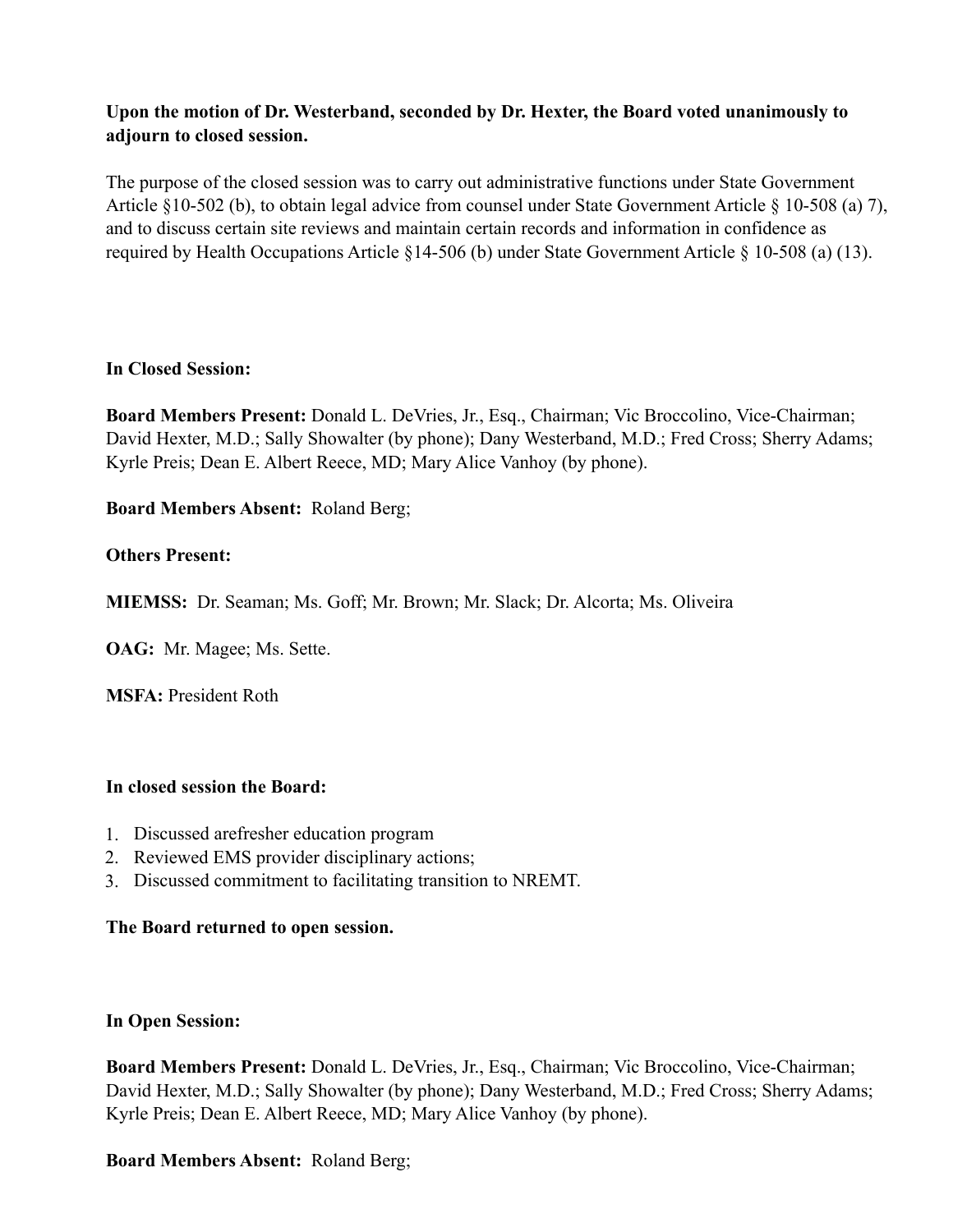# **Upon the motion of Dr. Westerband, seconded by Dr. Hexter, the Board voted unanimously to adjourn to closed session.**

The purpose of the closed session was to carry out administrative functions under State Government Article §10-502 (b), to obtain legal advice from counsel under State Government Article § 10-508 (a) 7), and to discuss certain site reviews and maintain certain records and information in confidence as required by Health Occupations Article §14-506 (b) under State Government Article § 10-508 (a) (13).

## **In Closed Session:**

**Board Members Present:** Donald L. DeVries, Jr., Esq., Chairman; Vic Broccolino, Vice-Chairman; David Hexter, M.D.; Sally Showalter (by phone); Dany Westerband, M.D.; Fred Cross; Sherry Adams; Kyrle Preis; Dean E. Albert Reece, MD; Mary Alice Vanhoy (by phone).

# **Board Members Absent:** Roland Berg;

## **Others Present:**

**MIEMSS:** Dr. Seaman; Ms. Goff; Mr. Brown; Mr. Slack; Dr. Alcorta; Ms. Oliveira

**OAG:** Mr. Magee; Ms. Sette.

**MSFA:** President Roth

## **In closed session the Board:**

- 1. Discussed arefresher education program
- 2. Reviewed EMS provider disciplinary actions;
- 3. Discussed commitment to facilitating transition to NREMT.

## **The Board returned to open session.**

## **In Open Session:**

**Board Members Present:** Donald L. DeVries, Jr., Esq., Chairman; Vic Broccolino, Vice-Chairman; David Hexter, M.D.; Sally Showalter (by phone); Dany Westerband, M.D.; Fred Cross; Sherry Adams; Kyrle Preis; Dean E. Albert Reece, MD; Mary Alice Vanhoy (by phone).

# **Board Members Absent:** Roland Berg;